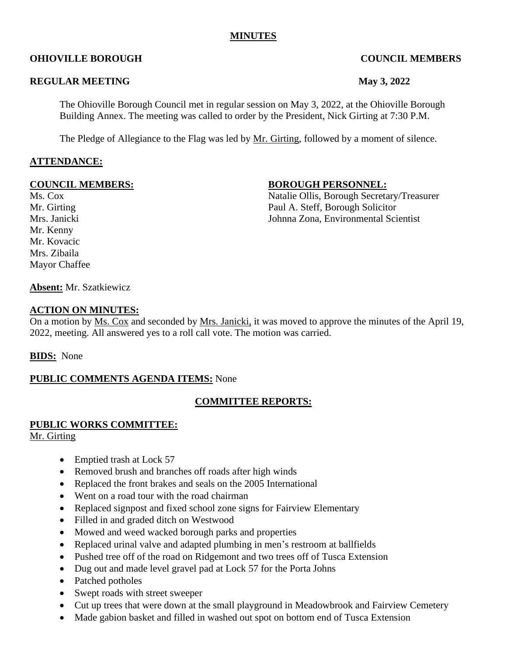#### **MINUTES**

### **OHIOVILLE BOROUGH COUNCIL MEMBERS**

#### **REGULAR MEETING May 3, 2022**

The Ohioville Borough Council met in regular session on May 3, 2022, at the Ohioville Borough Building Annex. The meeting was called to order by the President, Nick Girting at 7:30 P.M.

The Pledge of Allegiance to the Flag was led by Mr. Girting, followed by a moment of silence.

#### **ATTENDANCE:**

Mr. Kenny Mr. Kovacic Mrs. Zibaila Mayor Chaffee

#### **COUNCIL MEMBERS: BOROUGH PERSONNEL:**

Ms. Cox Natalie Ollis, Borough Secretary/Treasurer Mr. Girting Paul A. Steff, Borough Solicitor Mrs. Janicki Johnna Zona, Environmental Scientist

**Absent:** Mr. Szatkiewicz

#### **ACTION ON MINUTES:**

On a motion by Ms. Cox and seconded by Mrs. Janicki, it was moved to approve the minutes of the April 19, 2022, meeting. All answered yes to a roll call vote. The motion was carried.

#### **BIDS:** None

#### **PUBLIC COMMENTS AGENDA ITEMS:** None

#### **COMMITTEE REPORTS:**

# **PUBLIC WORKS COMMITTEE:**

Mr. Girting

- Emptied trash at Lock 57
- Removed brush and branches off roads after high winds
- Replaced the front brakes and seals on the 2005 International
- Went on a road tour with the road chairman
- Replaced signpost and fixed school zone signs for Fairview Elementary
- Filled in and graded ditch on Westwood
- Mowed and weed wacked borough parks and properties
- Replaced urinal valve and adapted plumbing in men's restroom at ballfields
- Pushed tree off of the road on Ridgemont and two trees off of Tusca Extension
- Dug out and made level gravel pad at Lock 57 for the Porta Johns
- Patched potholes
- Swept roads with street sweeper
- Cut up trees that were down at the small playground in Meadowbrook and Fairview Cemetery
- Made gabion basket and filled in washed out spot on bottom end of Tusca Extension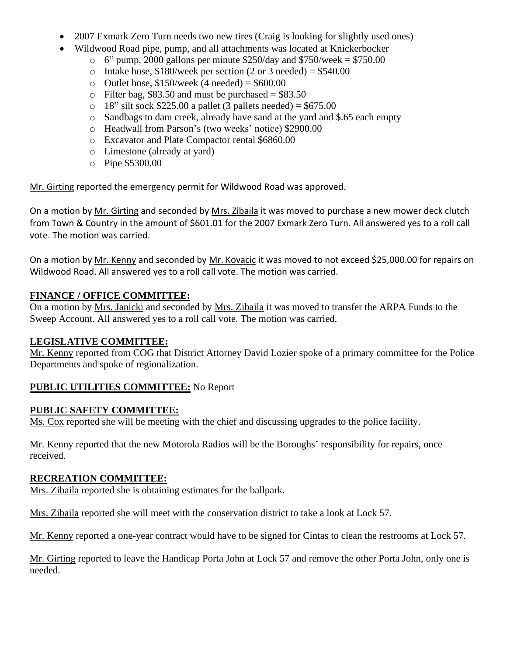- 2007 Exmark Zero Turn needs two new tires (Craig is looking for slightly used ones)
- Wildwood Road pipe, pump, and all attachments was located at Knickerbocker
	- $\degree$  6" pump, 2000 gallons per minute \$250/day and \$750/week = \$750.00
	- o Intake hose,  $$180$ /week per section (2 or 3 needed) =  $$540.00$
	- o Outlet hose,  $$150/week$  (4 needed) =  $$600.00$
	- $\circ$  Filter bag, \$83.50 and must be purchased = \$83.50
	- $\degree$  18" silt sock \$225.00 a pallet (3 pallets needed) = \$675.00
	- o Sandbags to dam creek, already have sand at the yard and \$.65 each empty
	- o Headwall from Parson's (two weeks' notice) \$2900.00
	- o Excavator and Plate Compactor rental \$6860.00
	- o Limestone (already at yard)
	- o Pipe \$5300.00

Mr. Girting reported the emergency permit for Wildwood Road was approved.

On a motion by Mr. Girting and seconded by Mrs. Zibaila it was moved to purchase a new mower deck clutch from Town & Country in the amount of \$601.01 for the 2007 Exmark Zero Turn. All answered yes to a roll call vote. The motion was carried.

On a motion by Mr. Kenny and seconded by Mr. Kovacic it was moved to not exceed \$25,000.00 for repairs on Wildwood Road. All answered yes to a roll call vote. The motion was carried.

## **FINANCE / OFFICE COMMITTEE:**

On a motion by Mrs. Janicki and seconded by Mrs. Zibaila it was moved to transfer the ARPA Funds to the Sweep Account. All answered yes to a roll call vote. The motion was carried.

## **LEGISLATIVE COMMITTEE:**

Mr. Kenny reported from COG that District Attorney David Lozier spoke of a primary committee for the Police Departments and spoke of regionalization.

## **PUBLIC UTILITIES COMMITTEE:** No Report

## **PUBLIC SAFETY COMMITTEE:**

Ms. Cox reported she will be meeting with the chief and discussing upgrades to the police facility.

Mr. Kenny reported that the new Motorola Radios will be the Boroughs' responsibility for repairs, once received.

## **RECREATION COMMITTEE:**

Mrs. Zibaila reported she is obtaining estimates for the ballpark.

Mrs. Zibaila reported she will meet with the conservation district to take a look at Lock 57.

Mr. Kenny reported a one-year contract would have to be signed for Cintas to clean the restrooms at Lock 57.

Mr. Girting reported to leave the Handicap Porta John at Lock 57 and remove the other Porta John, only one is needed.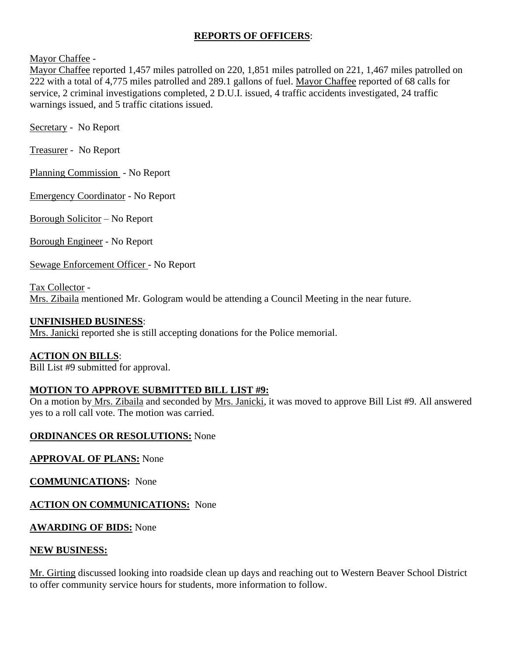### **REPORTS OF OFFICERS**:

Mayor Chaffee -

Mayor Chaffee reported 1,457 miles patrolled on 220, 1,851 miles patrolled on 221, 1,467 miles patrolled on 222 with a total of 4,775 miles patrolled and 289.1 gallons of fuel. Mayor Chaffee reported of 68 calls for service, 2 criminal investigations completed, 2 D.U.I. issued, 4 traffic accidents investigated, 24 traffic warnings issued, and 5 traffic citations issued.

Secretary - No Report

Treasurer - No Report

Planning Commission - No Report

Emergency Coordinator - No Report

Borough Solicitor – No Report

Borough Engineer - No Report

Sewage Enforcement Officer - No Report

Tax Collector - Mrs. Zibaila mentioned Mr. Gologram would be attending a Council Meeting in the near future.

### **UNFINISHED BUSINESS**:

Mrs. Janicki reported she is still accepting donations for the Police memorial.

#### **ACTION ON BILLS**:

Bill List #9 submitted for approval.

## **MOTION TO APPROVE SUBMITTED BILL LIST #9:**

On a motion by Mrs. Zibaila and seconded by Mrs. Janicki, it was moved to approve Bill List #9. All answered yes to a roll call vote. The motion was carried.

#### **ORDINANCES OR RESOLUTIONS:** None

## **APPROVAL OF PLANS:** None

**COMMUNICATIONS:** None

**ACTION ON COMMUNICATIONS:** None

## **AWARDING OF BIDS:** None

#### **NEW BUSINESS:**

Mr. Girting discussed looking into roadside clean up days and reaching out to Western Beaver School District to offer community service hours for students, more information to follow.